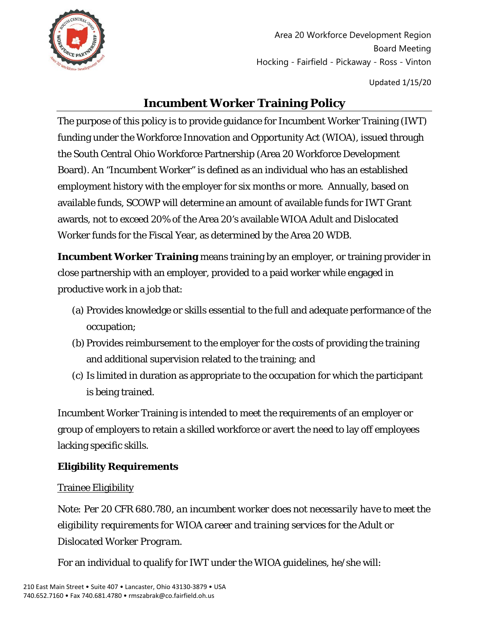

Area 20 Workforce Development Region Board Meeting Hocking - Fairfield - Pickaway - Ross - Vinton

Updated 1/15/20

# **Incumbent Worker Training Policy**

The purpose of this policy is to provide guidance for Incumbent Worker Training (IWT) funding under the Workforce Innovation and Opportunity Act (WIOA), issued through the South Central Ohio Workforce Partnership (Area 20 Workforce Development Board). An "Incumbent Worker" is defined as an individual who has an established employment history with the employer for six months or more. Annually, based on available funds, SCOWP will determine an amount of available funds for IWT Grant awards, not to exceed 20% of the Area 20's available WIOA Adult and Dislocated Worker funds for the Fiscal Year, as determined by the Area 20 WDB.

**Incumbent Worker Training** means training by an employer, or training provider in close partnership with an employer, provided to a paid worker while engaged in productive work in a job that:

- (a) Provides knowledge or skills essential to the full and adequate performance of the occupation;
- (b) Provides reimbursement to the employer for the costs of providing the training and additional supervision related to the training; and
- (c) Is limited in duration as appropriate to the occupation for which the participant is being trained.

Incumbent Worker Training is intended to meet the requirements of an employer or group of employers to retain a skilled workforce or avert the need to lay off employees lacking specific skills.

# **Eligibility Requirements**

### Trainee Eligibility

*Note: Per 20 CFR 680.780, an incumbent worker does not necessarily have to meet the eligibility requirements for WIOA career and training services for the Adult or Dislocated Worker Program.*

For an individual to qualify for IWT under the WIOA guidelines, he/she will: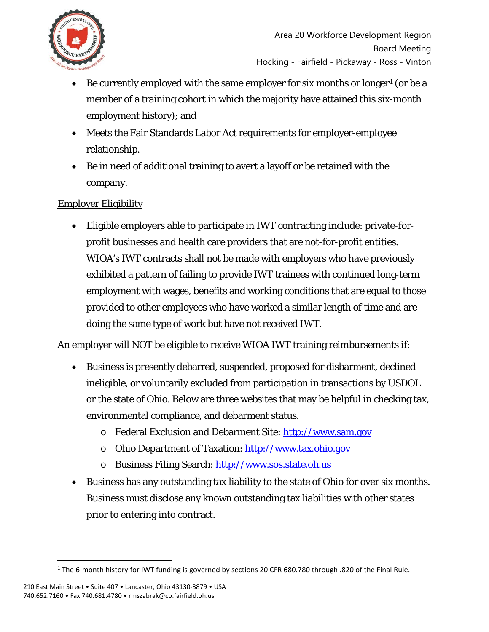

- Be currently employed with the same employer for six months or longer<sup>[1](#page-1-0)</sup> (or be a member of a training cohort in which the majority have attained this six-month employment history); and
- Meets the Fair Standards Labor Act requirements for employer-employee relationship.
- Be in need of additional training to avert a layoff or be retained with the company.

### Employer Eligibility

• Eligible employers able to participate in IWT contracting include: private-forprofit businesses and health care providers that are not-for-profit entities. WIOA's IWT contracts shall not be made with employers who have previously exhibited a pattern of failing to provide IWT trainees with continued long-term employment with wages, benefits and working conditions that are equal to those provided to other employees who have worked a similar length of time and are doing the same type of work but have not received IWT.

An employer will NOT be eligible to receive WIOA IWT training reimbursements if:

- Business is presently debarred, suspended, proposed for disbarment, declined ineligible, or voluntarily excluded from participation in transactions by USDOL or the state of Ohio. Below are three websites that may be helpful in checking tax, environmental compliance, and debarment status.
	- o Federal Exclusion and Debarment Site: [http://www.sam.gov](http://www.sam.gov/)
	- o Ohio Department of Taxation: [http://www.tax.ohio.gov](http://www.tax.ohio.gov/)
	- o Business Filing Search: [http://www.sos.state.oh.us](http://www.sos.state.oh.us/)
- Business has any outstanding tax liability to the state of Ohio for over six months. Business must disclose any known outstanding tax liabilities with other states prior to entering into contract.

<span id="page-1-0"></span><sup>1</sup> The 6-month history for IWT funding is governed by sections 20 CFR 680.780 through .820 of the Final Rule.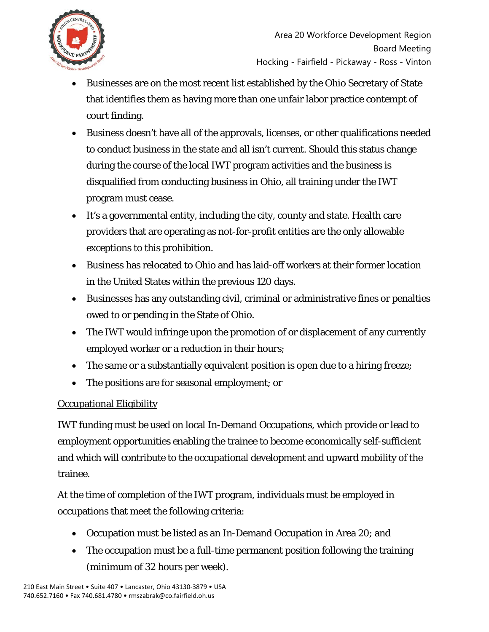

- Businesses are on the most recent list established by the Ohio Secretary of State that identifies them as having more than one unfair labor practice contempt of court finding.
- Business doesn't have all of the approvals, licenses, or other qualifications needed to conduct business in the state and all isn't current. Should this status change during the course of the local IWT program activities and the business is disqualified from conducting business in Ohio, all training under the IWT program must cease.
- It's a governmental entity, including the city, county and state. Health care providers that are operating as not-for-profit entities are the only allowable exceptions to this prohibition.
- Business has relocated to Ohio and has laid-off workers at their former location in the United States within the previous 120 days.
- Businesses has any outstanding civil, criminal or administrative fines or penalties owed to or pending in the State of Ohio.
- The IWT would infringe upon the promotion of or displacement of any currently employed worker or a reduction in their hours;
- The same or a substantially equivalent position is open due to a hiring freeze;
- The positions are for seasonal employment; or

# Occupational Eligibility

IWT funding must be used on local In-Demand Occupations, which provide or lead to employment opportunities enabling the trainee to become economically self-sufficient and which will contribute to the occupational development and upward mobility of the trainee.

At the time of completion of the IWT program, individuals must be employed in occupations that meet the following criteria:

- Occupation must be listed as an In-Demand Occupation in Area 20; and
- The occupation must be a full-time permanent position following the training (minimum of 32 hours per week).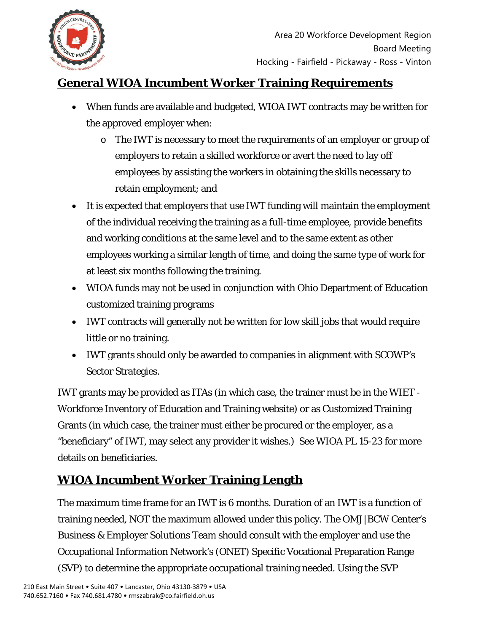

# **General WIOA Incumbent Worker Training Requirements**

- When funds are available and budgeted, WIOA IWT contracts may be written for the approved employer when:
	- o The IWT is necessary to meet the requirements of an employer or group of employers to retain a skilled workforce or avert the need to lay off employees by assisting the workers in obtaining the skills necessary to retain employment; and
- It is expected that employers that use IWT funding will maintain the employment of the individual receiving the training as a full-time employee, provide benefits and working conditions at the same level and to the same extent as other employees working a similar length of time, and doing the same type of work for at least six months following the training.
- WIOA funds may not be used in conjunction with Ohio Department of Education customized training programs
- IWT contracts will generally not be written for low skill jobs that would require little or no training.
- IWT grants should only be awarded to companies in alignment with SCOWP's Sector Strategies.

IWT grants may be provided as ITAs (in which case, the trainer must be in the WIET - Workforce Inventory of Education and Training website) or as Customized Training Grants (in which case, the trainer must either be procured or the employer, as a "beneficiary" of IWT, may select any provider it wishes.) See WIOA PL 15-23 for more details on beneficiaries.

# **WIOA Incumbent Worker Training Length**

The maximum time frame for an IWT is 6 months. Duration of an IWT is a function of training needed, NOT the maximum allowed under this policy. The OMJ|BCW Center's Business & Employer Solutions Team should consult with the employer and use the Occupational Information Network's (ONET) Specific Vocational Preparation Range (SVP) to determine the appropriate occupational training needed. Using the SVP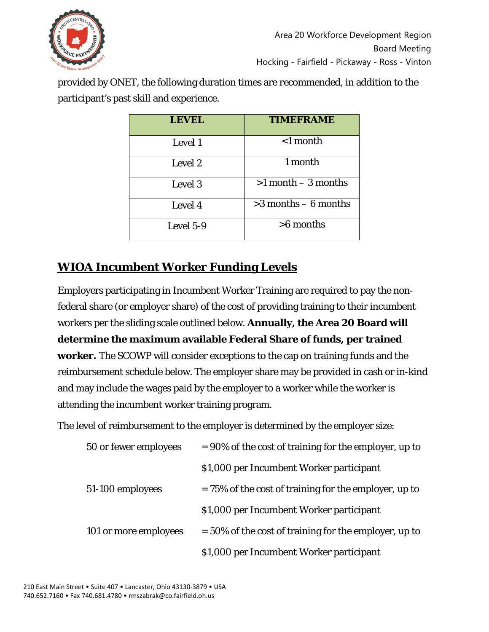

provided by ONET, the following duration times are *recommended*, in addition to the participant's past skill and experience.

| <b>LEVEL</b> | <b>TIMEFRAME</b>        |
|--------------|-------------------------|
| Level 1      | $<$ 1 month             |
| Level 2      | 1 month                 |
| Level 3      | $>1$ month $-3$ months  |
| Level 4      | $>3$ months $-6$ months |
| Level 5-9    | $>6$ months             |

# **WIOA Incumbent Worker Funding Levels**

Employers participating in Incumbent Worker Training are required to pay the nonfederal share (or employer share) of the cost of providing training to their incumbent workers per the sliding scale outlined below. **Annually, the Area 20 Board will determine the maximum available Federal Share of funds, per trained worker.** The SCOWP will consider exceptions to the cap on training funds and the reimbursement schedule below. The employer share may be provided in cash or in-kind and may include the wages paid by the employer to a worker while the worker is attending the incumbent worker training program.

The level of reimbursement to the employer is determined by the employer size:

| 50 or fewer employees | $= 90\%$ of the cost of training for the employer, up to |  |
|-----------------------|----------------------------------------------------------|--|
|                       | \$1,000 per Incumbent Worker participant                 |  |
| 51-100 employees      | $= 75\%$ of the cost of training for the employer, up to |  |
|                       | \$1,000 per Incumbent Worker participant                 |  |
| 101 or more employees | $=$ 50% of the cost of training for the employer, up to  |  |
|                       | \$1,000 per Incumbent Worker participant                 |  |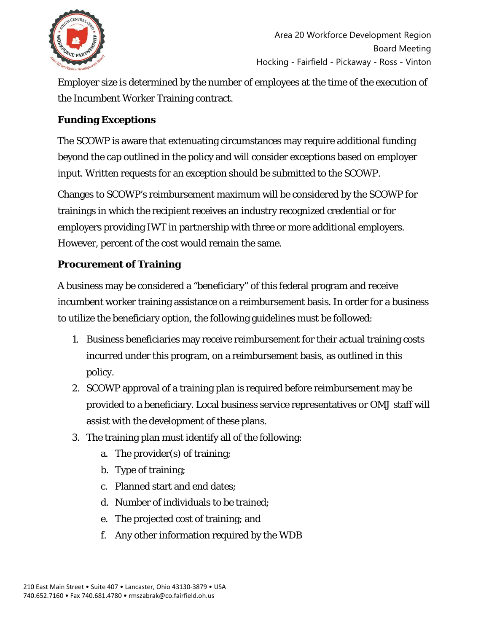

Employer size is determined by the number of employees at the time of the execution of the Incumbent Worker Training contract.

### **Funding Exceptions**

The SCOWP is aware that extenuating circumstances may require additional funding beyond the cap outlined in the policy and will consider exceptions based on employer input. Written requests for an exception should be submitted to the SCOWP.

Changes to SCOWP's reimbursement maximum will be considered by the SCOWP for trainings in which the recipient receives an industry recognized credential or for employers providing IWT in partnership with three or more additional employers. However, percent of the cost would remain the same.

### **Procurement of Training**

A business may be considered a "beneficiary" of this federal program and receive incumbent worker training assistance on a reimbursement basis. In order for a business to utilize the beneficiary option, the following guidelines must be followed:

- 1. Business beneficiaries may receive reimbursement for their actual training costs incurred under this program, on a reimbursement basis, as outlined in this policy.
- 2. SCOWP approval of a training plan is required before reimbursement may be provided to a beneficiary. Local business service representatives or OMJ staff will assist with the development of these plans.
- 3. The training plan must identify all of the following:
	- a. The provider(s) of training;
	- b. Type of training;
	- c. Planned start and end dates;
	- d. Number of individuals to be trained;
	- e. The projected cost of training; and
	- f. Any other information required by the WDB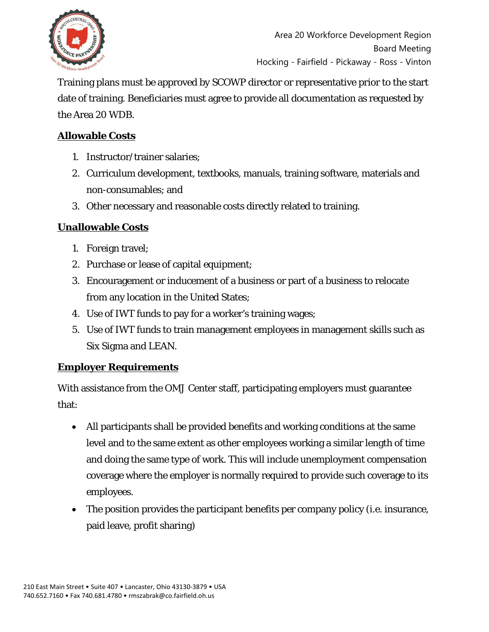

Training plans must be approved by SCOWP director or representative prior to the start date of training. Beneficiaries must agree to provide all documentation as requested by the Area 20 WDB.

### **Allowable Costs**

- 1. Instructor/trainer salaries;
- 2. Curriculum development, textbooks, manuals, training software, materials and non-consumables; and
- 3. Other necessary and reasonable costs directly related to training.

# **Unallowable Costs**

- 1. Foreign travel;
- 2. Purchase or lease of capital equipment;
- 3. Encouragement or inducement of a business or part of a business to relocate from any location in the United States;
- 4. Use of IWT funds to pay for a worker's training wages;
- 5. Use of IWT funds to train management employees in management skills such as Six Sigma and LEAN.

### **Employer Requirements**

With assistance from the OMJ Center staff, participating employers must guarantee that:

- All participants shall be provided benefits and working conditions at the same level and to the same extent as other employees working a similar length of time and doing the same type of work. This will include unemployment compensation coverage where the employer is normally required to provide such coverage to its employees.
- The position provides the participant benefits per company policy (i.e. insurance, paid leave, profit sharing)